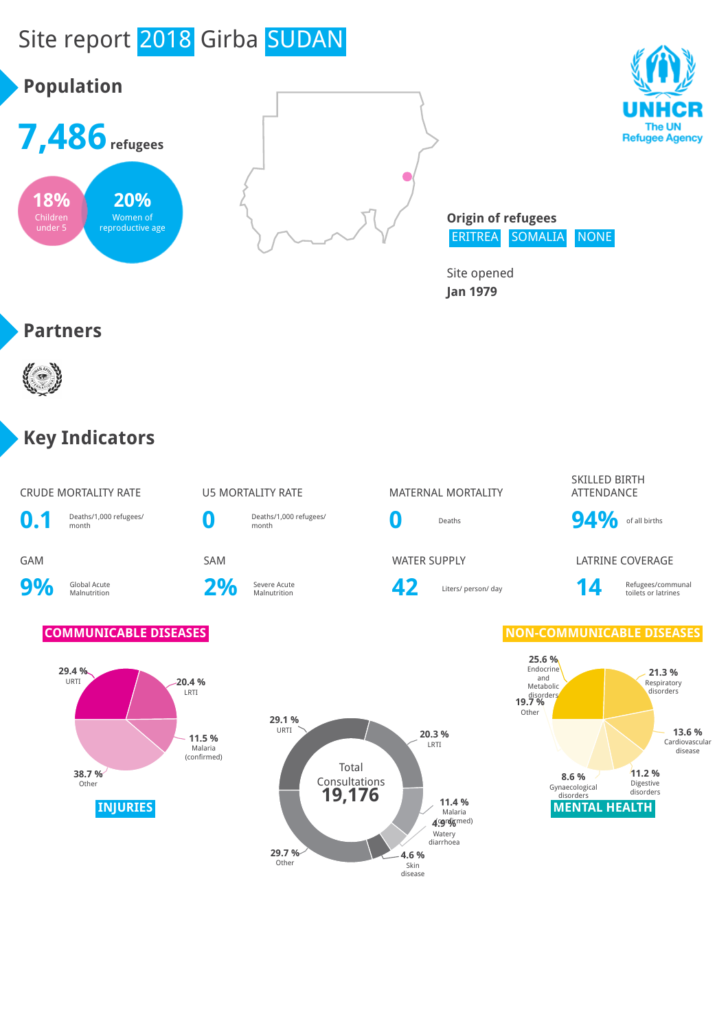# Site report 2018 Girba SUDAN





**Origin of refugees** ERITREA SOMALIA NONE

Site opened **Jan 1979**

### **Partners**

**18%** Children under 5

**Population**

**7,486refugees**

**20%** Women of reproductive age



### **Key Indicators**

### CRUDE MORTALITY RATE **U5 MORTALITY RATE** MATERNAL MORTALITY



**9%** Global Acute

2% Severe Acute

Deaths/1,000 refugees/

Severe Acute **19 Communal 12** Liters/ person/ day **14** Refugees/communal collection and toilets or latrines

### SKILLED BIRTH ATTENDANCE

**0** Deaths **94%** of all births

GAM SAM SAM SAM WATER SUPPLY LATRINE COVERAGE

toilets or latrines

### **COMMUNICABLE DISEASES NON-COMMUNICABLE DISEASES**





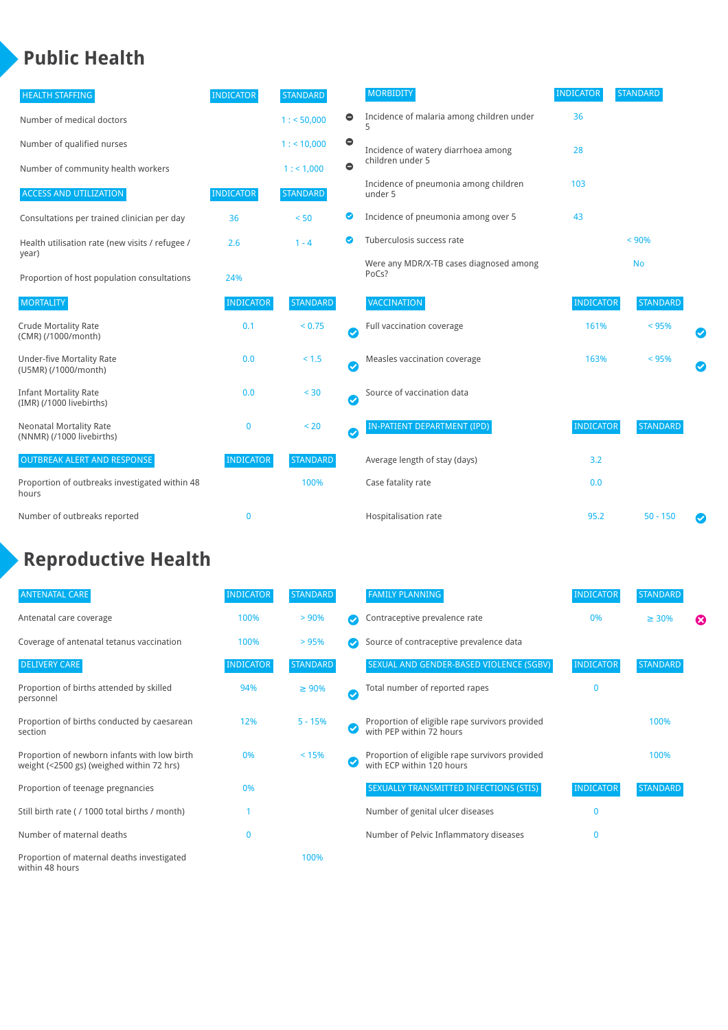### **Public Health**

| <b>HEALTH STAFFING</b>                                      | <b>INDICATOR</b> | <b>STANDARD</b> |           | <b>MORBIDITY</b>                                 | <b>INDICATOR</b> | <b>STANDARD</b> |           |
|-------------------------------------------------------------|------------------|-----------------|-----------|--------------------------------------------------|------------------|-----------------|-----------|
| Number of medical doctors                                   |                  | 1: 50,000       | $\bullet$ | Incidence of malaria among children under        | 36               |                 |           |
| Number of qualified nurses                                  |                  | $1:$ < 10,000   | $\bullet$ | Incidence of watery diarrhoea among              | 28               |                 |           |
| Number of community health workers                          |                  | 1:1,000         | $\bullet$ | children under 5                                 |                  |                 |           |
| <b>ACCESS AND UTILIZATION</b>                               | <b>INDICATOR</b> | <b>STANDARD</b> |           | Incidence of pneumonia among children<br>under 5 | 103              |                 |           |
| Consultations per trained clinician per day                 | 36               | < 50            | Ø         | Incidence of pneumonia among over 5              | 43               |                 |           |
| Health utilisation rate (new visits / refugee /             | 2.6              | $1 - 4$         | ☑         | Tuberculosis success rate                        |                  | < 90%           |           |
| year)<br>Proportion of host population consultations        | 24%              |                 |           | Were any MDR/X-TB cases diagnosed among<br>PoCs? |                  | <b>No</b>       |           |
| <b>MORTALITY</b>                                            | <b>INDICATOR</b> | <b>STANDARD</b> |           | <b>VACCINATION</b>                               | <b>INDICATOR</b> | <b>STANDARD</b> |           |
| <b>Crude Mortality Rate</b><br>(CMR) (/1000/month)          | 0.1              | < 0.75          | Ø         | Full vaccination coverage                        | 161%             | < 95%           |           |
| Under-five Mortality Rate<br>(U5MR) (/1000/month)           | 0.0              | < 1.5           | Ø         | Measles vaccination coverage                     | 163%             | < 95%           | $\bullet$ |
| <b>Infant Mortality Rate</b><br>(IMR) (/1000 livebirths)    | 0.0              | < 30            | Ø         | Source of vaccination data                       |                  |                 |           |
| <b>Neonatal Mortality Rate</b><br>(NNMR) (/1000 livebirths) | 0                | < 20            | Ø         | IN-PATIENT DEPARTMENT (IPD)                      | <b>INDICATOR</b> | <b>STANDARD</b> |           |
| <b>OUTBREAK ALERT AND RESPONSE</b>                          | <b>INDICATOR</b> | <b>STANDARD</b> |           | Average length of stay (days)                    | 3.2              |                 |           |
| Proportion of outbreaks investigated within 48<br>hours     |                  | 100%            |           | Case fatality rate                               | 0.0              |                 |           |
| Number of outbreaks reported                                | 0                |                 |           | Hospitalisation rate                             | 95.2             | $50 - 150$      |           |

# **Reproductive Health**

| <b>ANTENATAL CARE</b>                                                                     | <b>INDICATOR</b> | <b>STANDARD</b> |               | <b>FAMILY PLANNING</b>                                                      | <b>INDICATOR</b> | <b>STANDARD</b> |   |
|-------------------------------------------------------------------------------------------|------------------|-----------------|---------------|-----------------------------------------------------------------------------|------------------|-----------------|---|
| Antenatal care coverage                                                                   | 100%             | > 90%           |               | Contraceptive prevalence rate                                               | 0%               | $\geq 30\%$     | ⊠ |
| Coverage of antenatal tetanus vaccination                                                 | 100%             | >95%            |               | Source of contraceptive prevalence data                                     |                  |                 |   |
| <b>DELIVERY CARE</b>                                                                      | <b>INDICATOR</b> | <b>STANDARD</b> |               | SEXUAL AND GENDER-BASED VIOLENCE (SGBV)                                     | <b>INDICATOR</b> | <b>STANDARD</b> |   |
| Proportion of births attended by skilled<br>personnel                                     | 94%              | $\geq 90\%$     | $\bm{\sigma}$ | Total number of reported rapes                                              | $\mathbf{0}$     |                 |   |
| Proportion of births conducted by caesarean<br>section                                    | 12%              | $5 - 15%$       |               | Proportion of eligible rape survivors provided<br>with PEP within 72 hours  |                  | 100%            |   |
| Proportion of newborn infants with low birth<br>weight (<2500 gs) (weighed within 72 hrs) | 0%               | < 15%           |               | Proportion of eligible rape survivors provided<br>with ECP within 120 hours |                  | 100%            |   |
| Proportion of teenage pregnancies                                                         | 0%               |                 |               | SEXUALLY TRANSMITTED INFECTIONS (STIS)                                      | <b>INDICATOR</b> | <b>STANDARD</b> |   |
| Still birth rate (/ 1000 total births / month)                                            |                  |                 |               | Number of genital ulcer diseases                                            | $\Omega$         |                 |   |
| Number of maternal deaths                                                                 | $\mathbf{0}$     |                 |               | Number of Pelvic Inflammatory diseases                                      | $\Omega$         |                 |   |
| Proportion of maternal deaths investigated<br>within 48 hours                             |                  | 100%            |               |                                                                             |                  |                 |   |